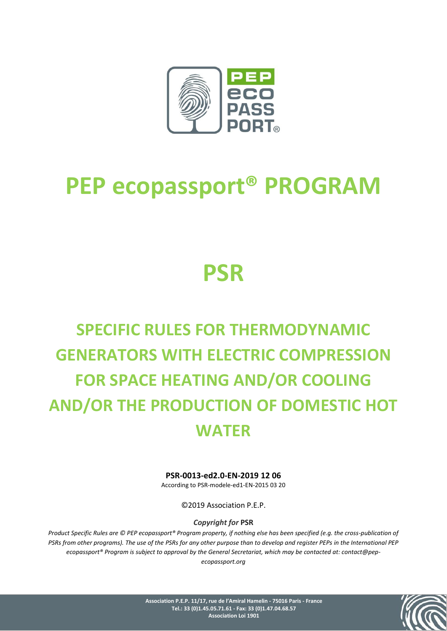

# **PEP ecopassport® PROGRAM**

# **PSR**

# **SPECIFIC RULES FOR THERMODYNAMIC GENERATORS WITH ELECTRIC COMPRESSION FOR SPACE HEATING AND/OR COOLING AND/OR THE PRODUCTION OF DOMESTIC HOT WATER**

### **PSR-0013-ed2.0-EN-2019 12 06**

According to PSR-modele-ed1-EN-2015 03 20

©2019 Association P.E.P.

*Copyright for* **PSR**

*Product Specific Rules are © PEP ecopassport® Program property, if nothing else has been specified (e.g. the cross-publication of PSRs from other programs). The use of the PSRs for any other purpose than to develop and register PEPs in the International PEP ecopassport® Program is subject to approval by the General Secretariat, which may be contacted at: contact@pepecopassport.org*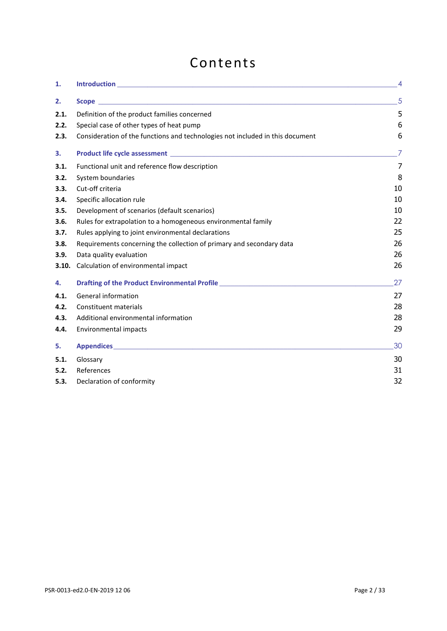# Contents

| 1.    |                                                                                                    | $\overline{4}$ |
|-------|----------------------------------------------------------------------------------------------------|----------------|
| 2.    |                                                                                                    | $5^{\circ}$    |
| 2.1.  | Definition of the product families concerned                                                       | 5              |
| 2.2.  | Special case of other types of heat pump                                                           | 6              |
| 2.3.  | Consideration of the functions and technologies not included in this document                      | 6              |
| 3.    | Product life cycle assessment <b>contract the contract of the contract of the cycle assessment</b> | $\overline{7}$ |
| 3.1.  | Functional unit and reference flow description                                                     | $\overline{7}$ |
| 3.2.  | System boundaries                                                                                  | 8              |
| 3.3.  | Cut-off criteria                                                                                   | 10             |
| 3.4.  | Specific allocation rule                                                                           | 10             |
| 3.5.  | Development of scenarios (default scenarios)                                                       | 10             |
| 3.6.  | Rules for extrapolation to a homogeneous environmental family                                      | 22             |
| 3.7.  | Rules applying to joint environmental declarations                                                 | 25             |
| 3.8.  | Requirements concerning the collection of primary and secondary data                               | 26             |
| 3.9.  | Data quality evaluation                                                                            | 26             |
| 3.10. | Calculation of environmental impact                                                                | 26             |
| 4.    | Drafting of the Product Environmental Profile __________________________________                   | 27             |
| 4.1.  | General information                                                                                | 27             |
| 4.2.  | <b>Constituent materials</b>                                                                       | 28             |
| 4.3.  | Additional environmental information                                                               | 28             |
| 4.4.  | Environmental impacts                                                                              | 29             |
| 5.    |                                                                                                    | 30             |
| 5.1.  | Glossary                                                                                           | 30             |
| 5.2.  | References                                                                                         | 31             |
| 5.3.  | Declaration of conformity                                                                          | 32             |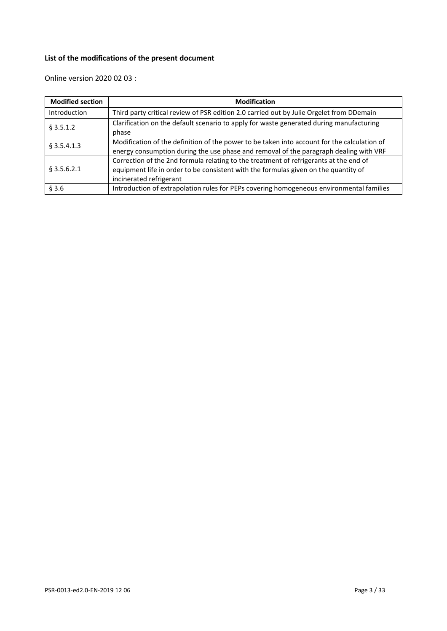## **List of the modifications of the present document**

Online version 2020 02 03 :

| <b>Modified section</b> | <b>Modification</b>                                                                                                                                                                                     |
|-------------------------|---------------------------------------------------------------------------------------------------------------------------------------------------------------------------------------------------------|
| Introduction            | Third party critical review of PSR edition 2.0 carried out by Julie Orgelet from DDemain                                                                                                                |
| § 3.5.1.2               | Clarification on the default scenario to apply for waste generated during manufacturing<br>phase                                                                                                        |
| $§$ 3.5.4.1.3           | Modification of the definition of the power to be taken into account for the calculation of<br>energy consumption during the use phase and removal of the paragraph dealing with VRF                    |
| $§$ 3.5.6.2.1           | Correction of the 2nd formula relating to the treatment of refrigerants at the end of<br>equipment life in order to be consistent with the formulas given on the quantity of<br>incinerated refrigerant |
| § 3.6                   | Introduction of extrapolation rules for PEPs covering homogeneous environmental families                                                                                                                |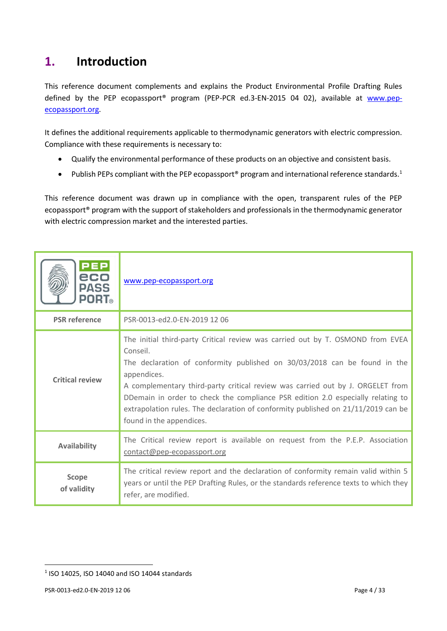# <span id="page-3-0"></span>**1. Introduction**

This reference document complements and explains the Product Environmental Profile Drafting Rules defined by the PEP ecopassport<sup>®</sup> program (PEP-PCR ed.3-EN-2015 04 02), available at [www.pep](http://www.pep-ecopassport.org/)[ecopassport.org.](http://www.pep-ecopassport.org/)

It defines the additional requirements applicable to thermodynamic generators with electric compression. Compliance with these requirements is necessary to:

- Qualify the environmental performance of these products on an objective and consistent basis.
- Publish PEPs compliant with the PEP ecopassport<sup>®</sup> program and international reference standards.<sup>1</sup>

This reference document was drawn up in compliance with the open, transparent rules of the PEP ecopassport® program with the support of stakeholders and professionals in the thermodynamic generator with electric compression market and the interested parties.

| <b>PEP</b><br>eco<br><b>PASS</b><br><b>PORT</b> ® | www.pep-ecopassport.org                                                                                                                                                                                                                                                                                                                                                                                                                                                      |
|---------------------------------------------------|------------------------------------------------------------------------------------------------------------------------------------------------------------------------------------------------------------------------------------------------------------------------------------------------------------------------------------------------------------------------------------------------------------------------------------------------------------------------------|
| <b>PSR</b> reference                              | PSR-0013-ed2.0-EN-2019 12 06                                                                                                                                                                                                                                                                                                                                                                                                                                                 |
| <b>Critical review</b>                            | The initial third-party Critical review was carried out by T. OSMOND from EVEA<br>Conseil.<br>The declaration of conformity published on 30/03/2018 can be found in the<br>appendices.<br>A complementary third-party critical review was carried out by J. ORGELET from<br>DDemain in order to check the compliance PSR edition 2.0 especially relating to<br>extrapolation rules. The declaration of conformity published on 21/11/2019 can be<br>found in the appendices. |
| <b>Availability</b>                               | The Critical review report is available on request from the P.E.P. Association<br>contact@pep-ecopassport.org                                                                                                                                                                                                                                                                                                                                                                |
| Scope<br>of validity                              | The critical review report and the declaration of conformity remain valid within 5<br>years or until the PEP Drafting Rules, or the standards reference texts to which they<br>refer, are modified.                                                                                                                                                                                                                                                                          |

<sup>1</sup> ISO 14025, ISO 14040 and ISO 14044 standards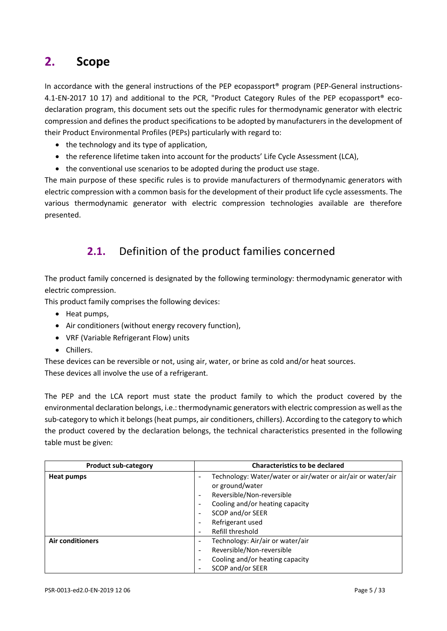# <span id="page-4-0"></span>**2. Scope**

In accordance with the general instructions of the PEP ecopassport<sup>®</sup> program (PEP-General instructions-4.1-EN-2017 10 17) and additional to the PCR, "Product Category Rules of the PEP ecopassport® ecodeclaration program, this document sets out the specific rules for thermodynamic generator with electric compression and defines the product specifications to be adopted by manufacturers in the development of their Product Environmental Profiles (PEPs) particularly with regard to:

- the technology and its type of application,
- the reference lifetime taken into account for the products' Life Cycle Assessment (LCA),
- the conventional use scenarios to be adopted during the product use stage.

<span id="page-4-1"></span>The main purpose of these specific rules is to provide manufacturers of thermodynamic generators with electric compression with a common basis for the development of their product life cycle assessments. The various thermodynamic generator with electric compression technologies available are therefore presented.

# **2.1.** Definition of the product families concerned

The product family concerned is designated by the following terminology: thermodynamic generator with electric compression.

This product family comprises the following devices:

- Heat pumps,
- Air conditioners (without energy recovery function),
- VRF (Variable Refrigerant Flow) units
- Chillers.

These devices can be reversible or not, using air, water, or brine as cold and/or heat sources. These devices all involve the use of a refrigerant.

The PEP and the LCA report must state the product family to which the product covered by the environmental declaration belongs, i.e.: thermodynamic generators with electric compression as well as the sub-category to which it belongs (heat pumps, air conditioners, chillers). According to the category to which the product covered by the declaration belongs, the technical characteristics presented in the following table must be given:

| <b>Product sub-category</b> | <b>Characteristics to be declared</b>                                                                                                                                                                                                                                                                                                                                        |  |
|-----------------------------|------------------------------------------------------------------------------------------------------------------------------------------------------------------------------------------------------------------------------------------------------------------------------------------------------------------------------------------------------------------------------|--|
| <b>Heat pumps</b>           | Technology: Water/water or air/water or air/air or water/air<br>$\overline{\phantom{a}}$<br>or ground/water<br>Reversible/Non-reversible<br>$\overline{\phantom{a}}$<br>Cooling and/or heating capacity<br>$\overline{\phantom{a}}$<br>SCOP and/or SEER<br>$\overline{\phantom{a}}$<br>Refrigerant used<br>$\overline{\phantom{a}}$<br>Refill threshold<br>$\qquad \qquad -$ |  |
| <b>Air conditioners</b>     | Technology: Air/air or water/air<br>$\overline{\phantom{a}}$<br>Reversible/Non-reversible<br>$\overline{\phantom{a}}$<br>Cooling and/or heating capacity<br>$\overline{\phantom{a}}$<br>SCOP and/or SEER<br>$\qquad \qquad -$                                                                                                                                                |  |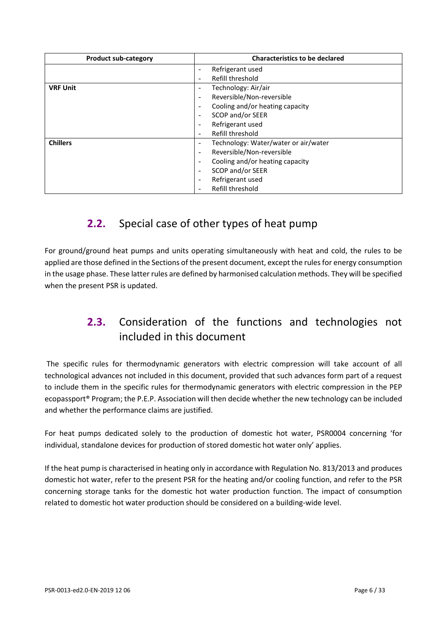| <b>Product sub-category</b> | <b>Characteristics to be declared</b>                            |  |
|-----------------------------|------------------------------------------------------------------|--|
|                             | Refrigerant used<br>$\overline{\phantom{a}}$                     |  |
|                             | Refill threshold<br>$\overline{\phantom{a}}$                     |  |
| <b>VRF Unit</b>             | Technology: Air/air<br>$\overline{\phantom{a}}$                  |  |
|                             | Reversible/Non-reversible<br>$\overline{\phantom{a}}$            |  |
|                             | Cooling and/or heating capacity<br>$\overline{\phantom{a}}$      |  |
|                             | SCOP and/or SEER<br>$\overline{\phantom{a}}$                     |  |
|                             | Refrigerant used<br>$\overline{\phantom{a}}$                     |  |
|                             | Refill threshold<br>$\overline{\phantom{a}}$                     |  |
| <b>Chillers</b>             | Technology: Water/water or air/water<br>$\overline{\phantom{a}}$ |  |
|                             | Reversible/Non-reversible<br>$\overline{\phantom{a}}$            |  |
|                             | Cooling and/or heating capacity<br>$\overline{\phantom{a}}$      |  |
|                             | SCOP and/or SEER<br>$\overline{\phantom{a}}$                     |  |
|                             | Refrigerant used<br>$\overline{\phantom{a}}$                     |  |
|                             | Refill threshold<br>$\overline{\phantom{a}}$                     |  |

# <span id="page-5-0"></span>**2.2.** Special case of other types of heat pump

<span id="page-5-1"></span>For ground/ground heat pumps and units operating simultaneously with heat and cold, the rules to be applied are those defined in the Sections of the present document, except the rules for energy consumption in the usage phase. These latter rules are defined by harmonised calculation methods. They will be specified when the present PSR is updated.

# **2.3.** Consideration of the functions and technologies not included in this document

The specific rules for thermodynamic generators with electric compression will take account of all technological advances not included in this document, provided that such advances form part of a request to include them in the specific rules for thermodynamic generators with electric compression in the PEP ecopassport® Program; the P.E.P. Association will then decide whether the new technology can be included and whether the performance claims are justified.

For heat pumps dedicated solely to the production of domestic hot water, PSR0004 concerning 'for individual, standalone devices for production of stored domestic hot water only' applies.

If the heat pump is characterised in heating only in accordance with Regulation No. 813/2013 and produces domestic hot water, refer to the present PSR for the heating and/or cooling function, and refer to the PSR concerning storage tanks for the domestic hot water production function. The impact of consumption related to domestic hot water production should be considered on a building-wide level.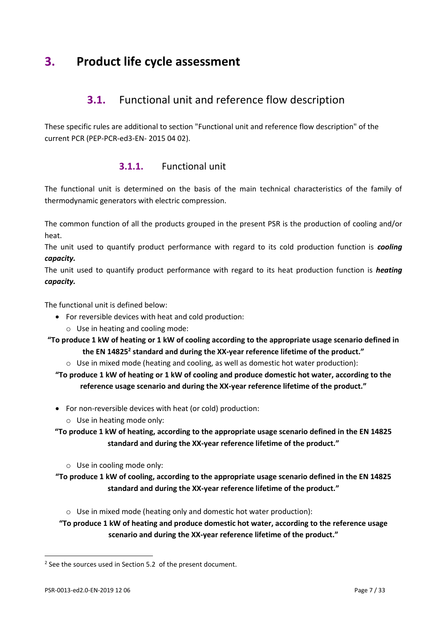# <span id="page-6-1"></span><span id="page-6-0"></span>**3. Product life cycle assessment**

## **3.1.** Functional unit and reference flow description

These specific rules are additional to section "Functional unit and reference flow description" of the current PCR (PEP-PCR-ed3-EN- 2015 04 02).

## **3.1.1.** Functional unit

The functional unit is determined on the basis of the main technical characteristics of the family of thermodynamic generators with electric compression.

The common function of all the products grouped in the present PSR is the production of cooling and/or heat.

The unit used to quantify product performance with regard to its cold production function is *cooling capacity.*

The unit used to quantify product performance with regard to its heat production function is *heating capacity.*

The functional unit is defined below:

- For reversible devices with heat and cold production:
	- o Use in heating and cooling mode:

**"To produce 1 kW of heating or 1 kW of cooling according to the appropriate usage scenario defined in the EN 14825<sup>2</sup> standard and during the XX-year reference lifetime of the product."**

 $\circ$  Use in mixed mode (heating and cooling, as well as domestic hot water production):

**"To produce 1 kW of heating or 1 kW of cooling and produce domestic hot water, according to the reference usage scenario and during the XX-year reference lifetime of the product."**

- For non-reversible devices with heat (or cold) production:
	- o Use in heating mode only:

**"To produce 1 kW of heating, according to the appropriate usage scenario defined in the EN 14825 standard and during the XX-year reference lifetime of the product."**

o Use in cooling mode only:

**"To produce 1 kW of cooling, according to the appropriate usage scenario defined in the EN 14825 standard and during the XX-year reference lifetime of the product."**

- o Use in mixed mode (heating only and domestic hot water production):
- **"To produce 1 kW of heating and produce domestic hot water, according to the reference usage scenario and during the XX-year reference lifetime of the product."**

 $2$  See the sources used in Section 5.2 of the present document.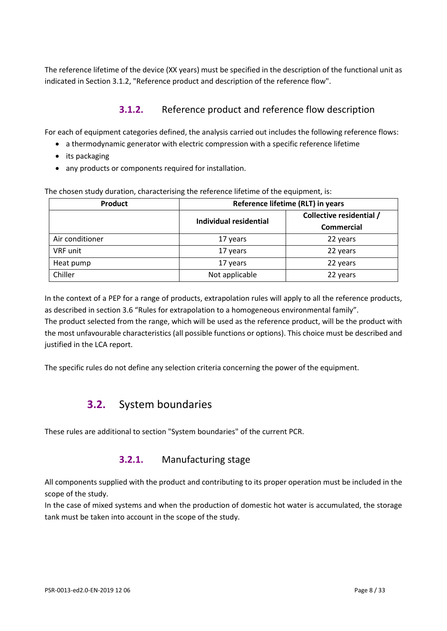The reference lifetime of the device (XX years) must be specified in the description of the functional unit as indicated in Section 3.1.2, "Reference product and description of the reference flow".

## **3.1.2.** Reference product and reference flow description

For each of equipment categories defined, the analysis carried out includes the following reference flows:

- a thermodynamic generator with electric compression with a specific reference lifetime
- its packaging
- any products or components required for installation.

| The chosen study duration, characterising the reference lifetime of the equipment, is: |  |  |
|----------------------------------------------------------------------------------------|--|--|
|                                                                                        |  |  |

| Product         | Reference lifetime (RLT) in years |                          |  |
|-----------------|-----------------------------------|--------------------------|--|
|                 | Individual residential            | Collective residential / |  |
|                 |                                   | Commercial               |  |
| Air conditioner | 17 years                          | 22 years                 |  |
| VRF unit        | 17 years                          | 22 years                 |  |
| Heat pump       | 17 years                          | 22 years                 |  |
| Chiller         | Not applicable                    | 22 years                 |  |

In the context of a PEP for a range of products, extrapolation rules will apply to all the reference products, as described in section 3.6 "Rules for extrapolation to a homogeneous environmental family". The product selected from the range, which will be used as the reference product, will be the product with the most unfavourable characteristics (all possible functions or options). This choice must be described and justified in the LCA report.

<span id="page-7-0"></span>The specific rules do not define any selection criteria concerning the power of the equipment.

# **3.2.** System boundaries

These rules are additional to section "System boundaries" of the current PCR.

## **3.2.1.** Manufacturing stage

All components supplied with the product and contributing to its proper operation must be included in the scope of the study.

In the case of mixed systems and when the production of domestic hot water is accumulated, the storage tank must be taken into account in the scope of the study.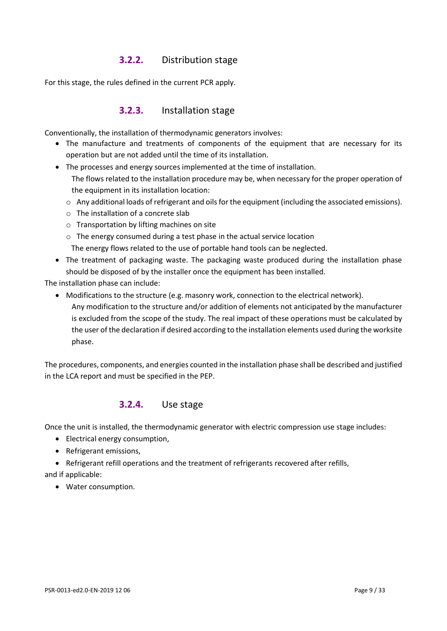## **3.2.2.** Distribution stage

For this stage, the rules defined in the current PCR apply.

#### **3.2.3.** Installation stage

Conventionally, the installation of thermodynamic generators involves:

- The manufacture and treatments of components of the equipment that are necessary for its operation but are not added until the time of its installation.
- The processes and energy sources implemented at the time of installation. The flows related to the installation procedure may be, when necessary for the proper operation of the equipment in its installation location:
	- $\circ$  Any additional loads of refrigerant and oils for the equipment (including the associated emissions).
	- o The installation of a concrete slab
	- o Transportation by lifting machines on site
	- o The energy consumed during a test phase in the actual service location The energy flows related to the use of portable hand tools can be neglected.
- The treatment of packaging waste. The packaging waste produced during the installation phase should be disposed of by the installer once the equipment has been installed.

The installation phase can include:

- Modifications to the structure (e.g. masonry work, connection to the electrical network).
	- Any modification to the structure and/or addition of elements not anticipated by the manufacturer is excluded from the scope of the study. The real impact of these operations must be calculated by the user of the declaration if desired according to the installation elements used during the worksite phase.

The procedures, components, and energies counted in the installation phase shall be described and justified in the LCA report and must be specified in the PEP.

#### **3.2.4.** Use stage

Once the unit is installed, the thermodynamic generator with electric compression use stage includes:

- Electrical energy consumption,
- Refrigerant emissions,
- Refrigerant refill operations and the treatment of refrigerants recovered after refills,

and if applicable:

• Water consumption.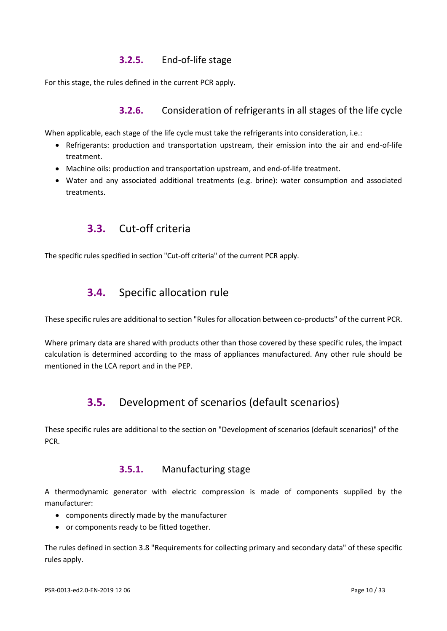## **3.2.5.** End-of-life stage

For this stage, the rules defined in the current PCR apply.

### **3.2.6.** Consideration of refrigerants in all stages of the life cycle

When applicable, each stage of the life cycle must take the refrigerants into consideration, i.e.:

- Refrigerants: production and transportation upstream, their emission into the air and end-of-life treatment.
- Machine oils: production and transportation upstream, and end-of-life treatment.
- <span id="page-9-0"></span>• Water and any associated additional treatments (e.g. brine): water consumption and associated treatments.

## **3.3.** Cut-off criteria

<span id="page-9-1"></span>The specific rules specified in section "Cut-off criteria" of the current PCR apply.

## **3.4.** Specific allocation rule

These specific rules are additional to section "Rules for allocation between co-products" of the current PCR.

<span id="page-9-2"></span>Where primary data are shared with products other than those covered by these specific rules, the impact calculation is determined according to the mass of appliances manufactured. Any other rule should be mentioned in the LCA report and in the PEP.

## **3.5.** Development of scenarios (default scenarios)

These specific rules are additional to the section on "Development of scenarios (default scenarios)" of the PCR.

#### **3.5.1.** Manufacturing stage

A thermodynamic generator with electric compression is made of components supplied by the manufacturer:

- components directly made by the manufacturer
- or components ready to be fitted together.

The rules defined in section 3.8 "Requirements for collecting primary and secondary data" of these specific rules apply.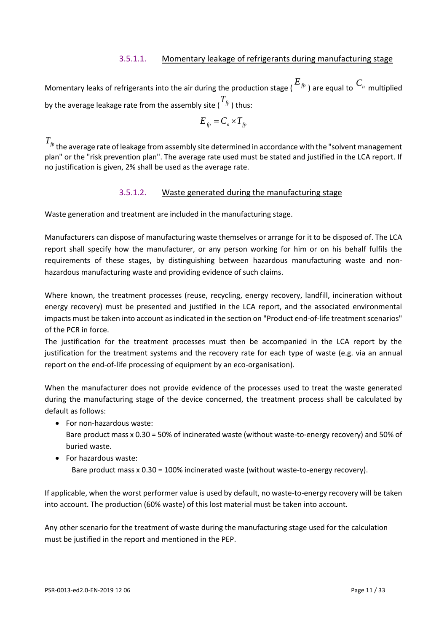#### 3.5.1.1. Momentary leakage of refrigerants during manufacturing stage

Momentary leaks of refrigerants into the air during the production stage ( *Efp* ) are equal to *Cn* multiplied by the average leakage rate from the assembly site (  $^{T_{fp}}$  ) thus:

$$
E_{fp} = C_n \times T_{fp}
$$

 $T_{\scriptsize \emph{fp}}$  the average rate of leakage from assembly site determined in accordance with the "solvent management plan" or the "risk prevention plan". The average rate used must be stated and justified in the LCA report. If no justification is given, 2% shall be used as the average rate.

#### 3.5.1.2. Waste generated during the manufacturing stage

Waste generation and treatment are included in the manufacturing stage.

Manufacturers can dispose of manufacturing waste themselves or arrange for it to be disposed of. The LCA report shall specify how the manufacturer, or any person working for him or on his behalf fulfils the requirements of these stages, by distinguishing between hazardous manufacturing waste and nonhazardous manufacturing waste and providing evidence of such claims.

Where known, the treatment processes (reuse, recycling, energy recovery, landfill, incineration without energy recovery) must be presented and justified in the LCA report, and the associated environmental impacts must be taken into account as indicated in the section on "Product end-of-life treatment scenarios" of the PCR in force.

The justification for the treatment processes must then be accompanied in the LCA report by the justification for the treatment systems and the recovery rate for each type of waste (e.g. via an annual report on the end-of-life processing of equipment by an eco-organisation).

When the manufacturer does not provide evidence of the processes used to treat the waste generated during the manufacturing stage of the device concerned, the treatment process shall be calculated by default as follows:

- For non-hazardous waste: Bare product mass x 0.30 = 50% of incinerated waste (without waste-to-energy recovery) and 50% of buried waste.
- For hazardous waste: Bare product mass x 0.30 = 100% incinerated waste (without waste-to-energy recovery).

If applicable, when the worst performer value is used by default, no waste-to-energy recovery will be taken into account. The production (60% waste) of this lost material must be taken into account.

Any other scenario for the treatment of waste during the manufacturing stage used for the calculation must be justified in the report and mentioned in the PEP.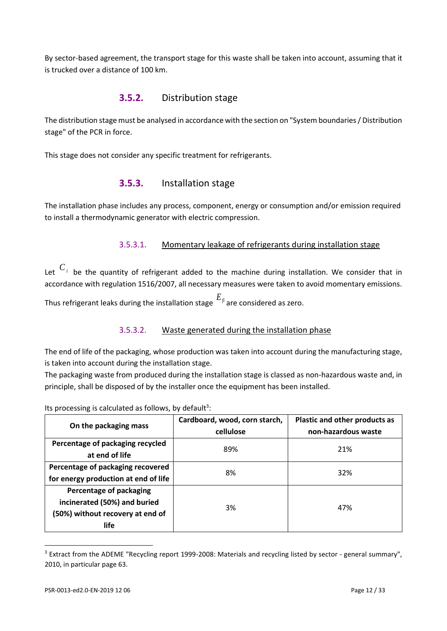By sector-based agreement, the transport stage for this waste shall be taken into account, assuming that it is trucked over a distance of 100 km.

#### **3.5.2.** Distribution stage

The distribution stage must be analysed in accordance with the section on "System boundaries / Distribution stage" of the PCR in force.

This stage does not consider any specific treatment for refrigerants.

#### **3.5.3.** Installation stage

The installation phase includes any process, component, energy or consumption and/or emission required to install a thermodynamic generator with electric compression.

#### 3.5.3.1. Momentary leakage of refrigerants during installation stage

Let  $C_i$  be the quantity of refrigerant added to the machine during installation. We consider that in accordance with regulation 1516/2007, all necessary measures were taken to avoid momentary emissions.

Thus refrigerant leaks during the installation stage *Efi* are considered as zero.

#### 3.5.3.2. Waste generated during the installation phase

The end of life of the packaging, whose production was taken into account during the manufacturing stage, is taken into account during the installation stage.

The packaging waste from produced during the installation stage is classed as non-hazardous waste and, in principle, shall be disposed of by the installer once the equipment has been installed.

| On the packaging mass                                                                                      | Cardboard, wood, corn starch,<br>cellulose | Plastic and other products as<br>non-hazardous waste |
|------------------------------------------------------------------------------------------------------------|--------------------------------------------|------------------------------------------------------|
| Percentage of packaging recycled<br>at end of life                                                         | 89%                                        | 21%                                                  |
| Percentage of packaging recovered<br>for energy production at end of life                                  | 8%                                         | 32%                                                  |
| Percentage of packaging<br>incinerated (50%) and buried<br>(50%) without recovery at end of<br><b>life</b> | 3%                                         | 47%                                                  |

Its processing is calculated as follows, by default<sup>3</sup>:

<sup>&</sup>lt;sup>3</sup> Extract from the ADEME "Recycling report 1999-2008: Materials and recycling listed by sector - general summary", 2010, in particular page 63.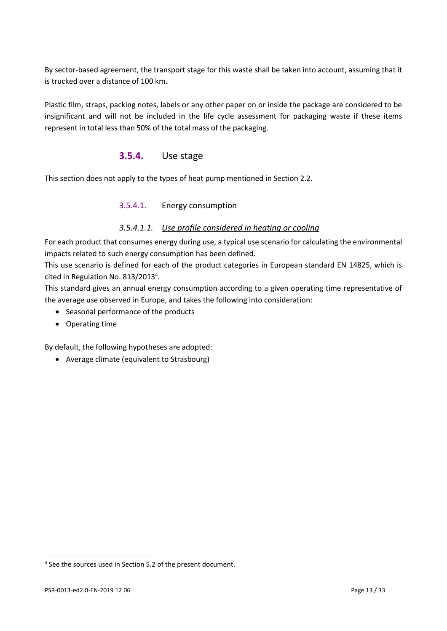By sector-based agreement, the transport stage for this waste shall be taken into account, assuming that it is trucked over a distance of 100 km.

Plastic film, straps, packing notes, labels or any other paper on or inside the package are considered to be insignificant and will not be included in the life cycle assessment for packaging waste if these items represent in total less than 50% of the total mass of the packaging.

### **3.5.4.** Use stage

This section does not apply to the types of heat pump mentioned in Section 2.2.

#### 3.5.4.1. Energy consumption

#### *3.5.4.1.1. Use profile considered in heating or cooling*

For each product that consumes energy during use, a typical use scenario for calculating the environmental impacts related to such energy consumption has been defined.

This use scenario is defined for each of the product categories in European standard EN 14825, which is cited in Regulation No. 813/2013<sup>4</sup>.

This standard gives an annual energy consumption according to a given operating time representative of the average use observed in Europe, and takes the following into consideration:

- Seasonal performance of the products
- Operating time

By default, the following hypotheses are adopted:

• Average climate (equivalent to Strasbourg)

<sup>&</sup>lt;sup>4</sup> See the sources used in Section 5.2 of the present document.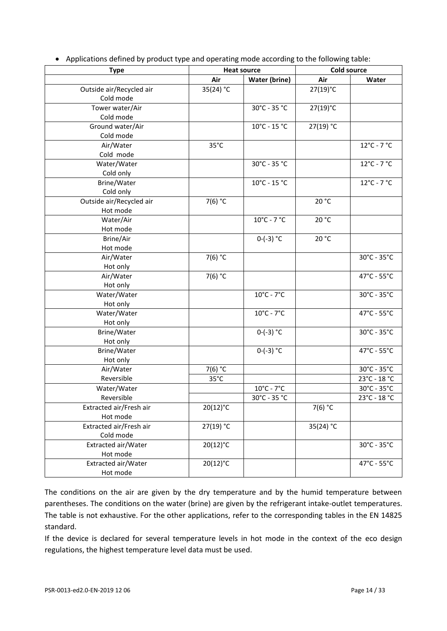| <b>Type</b>              | <b>Heat source</b> |                                  | <b>Cold source</b> |                                  |
|--------------------------|--------------------|----------------------------------|--------------------|----------------------------------|
|                          | Air                | <b>Water (brine)</b>             | Air                | Water                            |
| Outside air/Recycled air | 35(24) °C          |                                  | 27(19)°C           |                                  |
| Cold mode                |                    |                                  |                    |                                  |
| Tower water/Air          |                    | 30°C - 35 °C                     | 27(19)°C           |                                  |
| Cold mode                |                    |                                  |                    |                                  |
| Ground water/Air         |                    | 10°C - 15 °C                     | 27(19) °C          |                                  |
| Cold mode                |                    |                                  |                    |                                  |
| Air/Water                | $35^{\circ}$ C     |                                  |                    | $12^{\circ}$ C - 7 $^{\circ}$ C  |
| Cold mode                |                    |                                  |                    |                                  |
| Water/Water              |                    | 30°C - 35 °C                     |                    | $12^{\circ}$ C - 7 $^{\circ}$ C  |
| Cold only                |                    |                                  |                    |                                  |
| Brine/Water              |                    | $10^{\circ}$ C - 15 $^{\circ}$ C |                    | $12^{\circ}$ C - 7 $^{\circ}$ C  |
| Cold only                |                    |                                  |                    |                                  |
| Outside air/Recycled air | 7(6) °C            |                                  | 20 °C              |                                  |
| Hot mode                 |                    |                                  |                    |                                  |
| Water/Air                |                    | $10^{\circ}$ C - 7 $^{\circ}$ C  | 20 °C              |                                  |
| Hot mode                 |                    |                                  |                    |                                  |
| Brine/Air                |                    | $0-(-3)$ °C                      | 20 °C              |                                  |
| Hot mode                 |                    |                                  |                    |                                  |
| Air/Water                | 7(6) °C            |                                  |                    | 30°C - 35°C                      |
| Hot only                 |                    |                                  |                    |                                  |
| Air/Water                | 7(6) °C            |                                  |                    | 47°C - 55°C                      |
| Hot only                 |                    |                                  |                    |                                  |
| Water/Water              |                    | $10^{\circ}$ C - 7 $^{\circ}$ C  |                    | 30°C - 35°C                      |
| Hot only                 |                    |                                  |                    |                                  |
| Water/Water              |                    | $10^{\circ}$ C - 7 $^{\circ}$ C  |                    | 47°C - 55°C                      |
| Hot only                 |                    |                                  |                    |                                  |
| Brine/Water              |                    | $0-(-3)$ °C                      |                    | 30°C - 35°C                      |
| Hot only                 |                    |                                  |                    |                                  |
| Brine/Water              |                    | $0-(-3) °C$                      |                    | 47°C - 55°C                      |
| Hot only                 |                    |                                  |                    |                                  |
| Air/Water                | 7(6) °C            |                                  |                    | 30°C - 35°C                      |
| Reversible               | $35^{\circ}$ C     |                                  |                    | 23°C - 18 °C                     |
| Water/Water              |                    | $10^{\circ}$ C - $7^{\circ}$ C   |                    | 30°C - 35°C                      |
| Reversible               |                    | $30^{\circ}$ C - 35 $^{\circ}$ C |                    | $23^{\circ}$ C - 18 $^{\circ}$ C |
| Extracted air/Fresh air  | 20(12)°C           |                                  | 7(6) $^{\circ}$ C  |                                  |
| Hot mode                 |                    |                                  |                    |                                  |
| Extracted air/Fresh air  | 27(19) °C          |                                  | 35(24) °C          |                                  |
| Cold mode                |                    |                                  |                    |                                  |
| Extracted air/Water      | $20(12)$ °C        |                                  |                    | 30°C - 35°C                      |
| Hot mode                 |                    |                                  |                    |                                  |
| Extracted air/Water      | $20(12)$ °C        |                                  |                    | 47°C - 55°C                      |
| Hot mode                 |                    |                                  |                    |                                  |

• Applications defined by product type and operating mode according to the following table:

The conditions on the air are given by the dry temperature and by the humid temperature between parentheses. The conditions on the water (brine) are given by the refrigerant intake-outlet temperatures. The table is not exhaustive. For the other applications, refer to the corresponding tables in the EN 14825 standard.

If the device is declared for several temperature levels in hot mode in the context of the eco design regulations, the highest temperature level data must be used.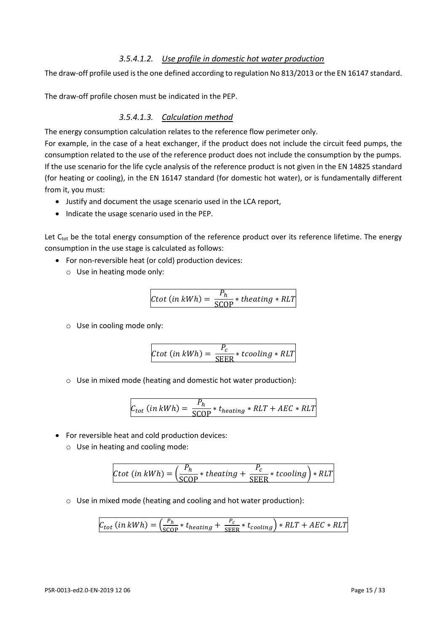#### *3.5.4.1.2. Use profile in domestic hot water production*

The draw-off profile used is the one defined according to regulation No 813/2013 or the EN 16147 standard.

The draw-off profile chosen must be indicated in the PEP.

#### *3.5.4.1.3. Calculation method*

The energy consumption calculation relates to the reference flow perimeter only.

For example, in the case of a heat exchanger, if the product does not include the circuit feed pumps, the consumption related to the use of the reference product does not include the consumption by the pumps. If the use scenario for the life cycle analysis of the reference product is not given in the EN 14825 standard (for heating or cooling), in the EN 16147 standard (for domestic hot water), or is fundamentally different from it, you must:

- Justify and document the usage scenario used in the LCA report,
- Indicate the usage scenario used in the PEP.

Let C<sub>tot</sub> be the total energy consumption of the reference product over its reference lifetime. The energy consumption in the use stage is calculated as follows:

- For non-reversible heat (or cold) production devices:
	- o Use in heating mode only:

$$
Ctot (in kWh) = \frac{P_h}{\text{SCOP}} * theating * RLT
$$

o Use in cooling mode only:

$$
Ctot (in kWh) = \frac{P_c}{\text{SEER}} * tcooling * RLT
$$

o Use in mixed mode (heating and domestic hot water production):

$$
C_{tot} (in kWh) = \frac{P_h}{\text{SCOP}} * t_{heating} * RLT + AEC * RLT
$$

- For reversible heat and cold production devices:
	- o Use in heating and cooling mode:

$$
Ctot (in kWh) = \left(\frac{P_h}{\text{SCOP}} * theating + \frac{P_c}{\text{SEER}} * tcooling\right) * RLT
$$

o Use in mixed mode (heating and cooling and hot water production):

$$
C_{tot} (in kWh) = \left(\frac{P_h}{\text{SCOP}} * t_{heating} + \frac{P_c}{\text{SEER}} * t_{cooling}\right) * RLT + AEC * RLT
$$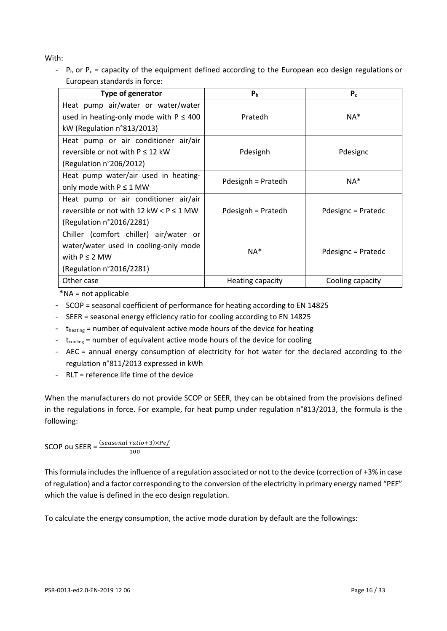With:

-  $P_h$  or  $P_c$  = capacity of the equipment defined according to the European eco design regulations or European standards in force:

| <b>Type of generator</b>                      | P <sub>h</sub>     | $P_c$              |  |
|-----------------------------------------------|--------------------|--------------------|--|
| Heat pump air/water or water/water            |                    |                    |  |
| used in heating-only mode with $P \leq 400$   | Pratedh            | $NA^*$             |  |
| kW (Regulation n°813/2013)                    |                    |                    |  |
| Heat pump or air conditioner air/air          |                    |                    |  |
| reversible or not with $P \le 12$ kW          | Pdesignh           | Pdesignc           |  |
| (Regulation n°206/2012)                       |                    |                    |  |
| Heat pump water/air used in heating-          | Pdesignh = Pratedh | NA*                |  |
| only mode with $P \le 1$ MW                   |                    |                    |  |
| Heat pump or air conditioner air/air          |                    |                    |  |
| reversible or not with 12 kW $\lt P \le 1$ MW | Pdesignh = Pratedh | Pdesignc = Pratedc |  |
| (Regulation n°2016/2281)                      |                    |                    |  |
| Chiller (comfort chiller) air/water or        |                    |                    |  |
| water/water used in cooling-only mode         | $NA^*$             |                    |  |
| with $P \le 2$ MW                             |                    | Pdesignc = Pratedc |  |
| (Regulation n°2016/2281)                      |                    |                    |  |
| Other case                                    | Heating capacity   | Cooling capacity   |  |

\*NA = not applicable

- SCOP = seasonal coefficient of performance for heating according to EN 14825
- SEER = seasonal energy efficiency ratio for cooling according to EN 14825
- $-t_{heating}$  = number of equivalent active mode hours of the device for heating
- $-$  t<sub>cooling</sub> = number of equivalent active mode hours of the device for cooling
- AEC = annual energy consumption of electricity for hot water for the declared according to the regulation n°811/2013 expressed in kWh
- RLT = reference life time of the device

When the manufacturers do not provide SCOP or SEER, they can be obtained from the provisions defined in the regulations in force. For example, for heat pump under regulation n°813/2013, the formula is the following:

SCOP ou SEER =  $\frac{(seasonal ratio + 3) \times Pef}{(seasonal ratio + 3) \times Pef}$ 100

This formula includes the influence of a regulation associated or not to the device (correction of +3% in case of regulation) and a factor corresponding to the conversion of the electricity in primary energy named "PEF" which the value is defined in the eco design regulation.

To calculate the energy consumption, the active mode duration by default are the followings: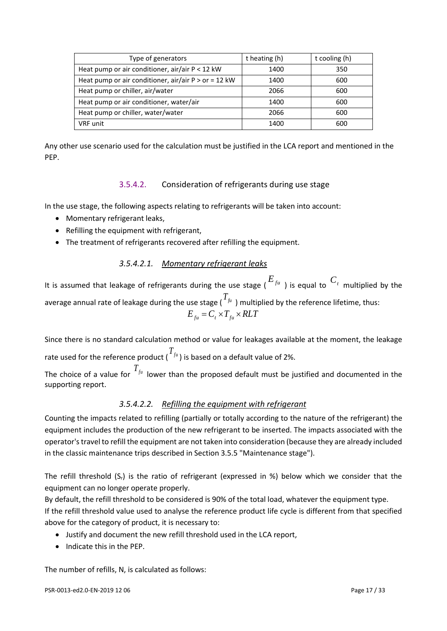| Type of generators                                     | t heating (h) | t cooling (h) |
|--------------------------------------------------------|---------------|---------------|
| Heat pump or air conditioner, air/air P < 12 kW        | 1400          | 350           |
| Heat pump or air conditioner, air/air $P >$ or = 12 kW | 1400          | 600           |
| Heat pump or chiller, air/water                        | 2066          | 600           |
| Heat pump or air conditioner, water/air                | 1400          | 600           |
| Heat pump or chiller, water/water                      | 2066          | 600           |
| <b>VRF</b> unit                                        | 1400          | 600           |

Any other use scenario used for the calculation must be justified in the LCA report and mentioned in the PEP.

#### 3.5.4.2. Consideration of refrigerants during use stage

In the use stage, the following aspects relating to refrigerants will be taken into account:

- Momentary refrigerant leaks,
- Refilling the equipment with refrigerant,
- The treatment of refrigerants recovered after refilling the equipment.

*3.5.4.2.1. Momentary refrigerant leaks*

It is assumed that leakage of refrigerants during the use stage ( $E_{f^u}$ ) is equal to  $C_t$  multiplied by the average annual rate of leakage during the use stage (  $T_{\scriptscriptstyle{f\mu}}$  ) multiplied by the reference lifetime, thus:  $E_{f_u} = C_{t} \times T_{f_u} \times RLT$ 

Since there is no standard calculation method or value for leakages available at the moment, the leakage rate used for the reference product ( $\overline{I}_{f^{\mu}}$ ) is based on a default value of 2%.

The choice of a value for  $T_{\scriptscriptstyle{f\mu}}$  lower than the proposed default must be justified and documented in the supporting report.

#### *3.5.4.2.2. Refilling the equipment with refrigerant*

Counting the impacts related to refilling (partially or totally according to the nature of the refrigerant) the equipment includes the production of the new refrigerant to be inserted. The impacts associated with the operator's travel to refill the equipment are not taken into consideration (because they are already included in the classic maintenance trips described in Section 3.5.5 "Maintenance stage").

The refill threshold  $(S_r)$  is the ratio of refrigerant (expressed in %) below which we consider that the equipment can no longer operate properly.

By default, the refill threshold to be considered is 90% of the total load, whatever the equipment type. If the refill threshold value used to analyse the reference product life cycle is different from that specified above for the category of product, it is necessary to:

- Justify and document the new refill threshold used in the LCA report,
- Indicate this in the PEP.

The number of refills, N, is calculated as follows: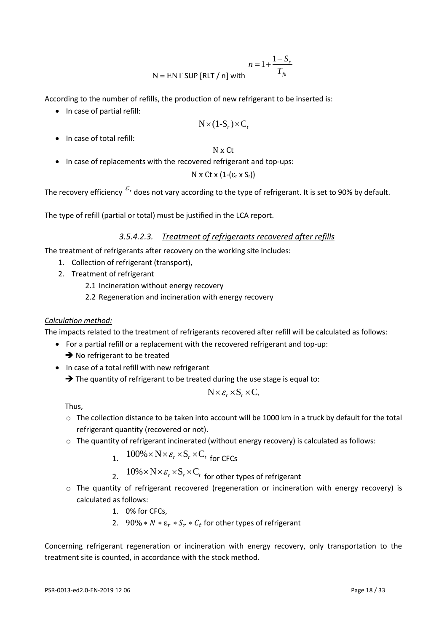$$
n = 1 + \frac{1 - S_r}{T_{\text{fit}}}
$$
  
N = ENT SUP [RLT / n] with

According to the number of refills, the production of new refrigerant to be inserted is:

• In case of partial refill:

$$
N \times (1-S_r) \times C_t
$$

• In case of total refill:

N x Ct

• In case of replacements with the recovered refrigerant and top-ups:

 $N$  x  $C$ t x  $(1-(\varepsilon_r \times S_r))$ 

The recovery efficiency  ${}^{\mathcal{E}_{r}}$  does not vary according to the type of refrigerant. It is set to 90% by default.

The type of refill (partial or total) must be justified in the LCA report.

*3.5.4.2.3. Treatment of refrigerants recovered after refills*

The treatment of refrigerants after recovery on the working site includes:

- 1. Collection of refrigerant (transport),
- 2. Treatment of refrigerant
	- 2.1 Incineration without energy recovery
	- 2.2 Regeneration and incineration with energy recovery

#### *Calculation method:*

The impacts related to the treatment of refrigerants recovered after refill will be calculated as follows:

- For a partial refill or a replacement with the recovered refrigerant and top-up:
	- **→** No refrigerant to be treated
- In case of a total refill with new refrigerant
	- ➔ The quantity of refrigerant to be treated during the use stage is equal to:

$$
N \times \varepsilon_r \times S_r \times C_t
$$

Thus,

- o The collection distance to be taken into account will be 1000 km in a truck by default for the total refrigerant quantity (recovered or not).
- $\circ$  The quantity of refrigerant incinerated (without energy recovery) is calculated as follows:

1. 
$$
100\% \times N \times \varepsilon_r \times S_r \times C_t
$$
 for CFCs

2.  $10\% \times N \times \varepsilon_r \times S_r \times C_t$  for other types of refrigerant

- o The quantity of refrigerant recovered (regeneration or incineration with energy recovery) is calculated as follows:
	- 1. 0% for CFCs,
	- 2. 90%  $* N * \varepsilon_r * S_r * C_t$  for other types of refrigerant

Concerning refrigerant regeneration or incineration with energy recovery, only transportation to the treatment site is counted, in accordance with the stock method.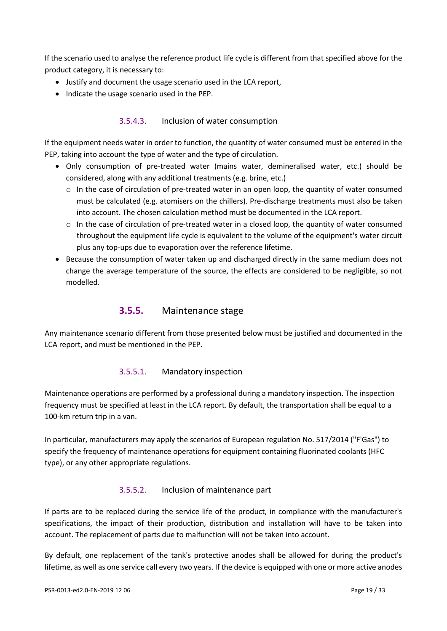If the scenario used to analyse the reference product life cycle is different from that specified above for the product category, it is necessary to:

- Justify and document the usage scenario used in the LCA report,
- Indicate the usage scenario used in the PEP.

#### 3.5.4.3. Inclusion of water consumption

If the equipment needs water in order to function, the quantity of water consumed must be entered in the PEP, taking into account the type of water and the type of circulation.

- Only consumption of pre-treated water (mains water, demineralised water, etc.) should be considered, along with any additional treatments (e.g. brine, etc.)
	- o In the case of circulation of pre-treated water in an open loop, the quantity of water consumed must be calculated (e.g. atomisers on the chillers). Pre-discharge treatments must also be taken into account. The chosen calculation method must be documented in the LCA report.
	- $\circ$  In the case of circulation of pre-treated water in a closed loop, the quantity of water consumed throughout the equipment life cycle is equivalent to the volume of the equipment's water circuit plus any top-ups due to evaporation over the reference lifetime.
- Because the consumption of water taken up and discharged directly in the same medium does not change the average temperature of the source, the effects are considered to be negligible, so not modelled.

#### **3.5.5.** Maintenance stage

Any maintenance scenario different from those presented below must be justified and documented in the LCA report, and must be mentioned in the PEP.

#### 3.5.5.1. Mandatory inspection

Maintenance operations are performed by a professional during a mandatory inspection. The inspection frequency must be specified at least in the LCA report. By default, the transportation shall be equal to a 100-km return trip in a van.

In particular, manufacturers may apply the scenarios of European regulation No. 517/2014 ("F'Gas") to specify the frequency of maintenance operations for equipment containing fluorinated coolants (HFC type), or any other appropriate regulations.

#### 3.5.5.2. Inclusion of maintenance part

If parts are to be replaced during the service life of the product, in compliance with the manufacturer's specifications, the impact of their production, distribution and installation will have to be taken into account. The replacement of parts due to malfunction will not be taken into account.

By default, one replacement of the tank's protective anodes shall be allowed for during the product's lifetime, as well as one service call every two years. If the device is equipped with one or more active anodes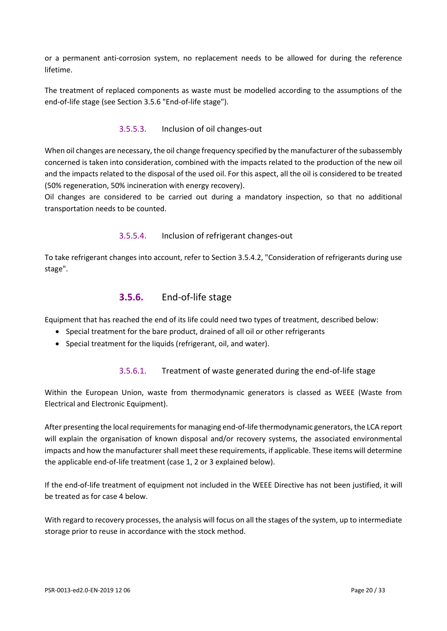or a permanent anti-corrosion system, no replacement needs to be allowed for during the reference lifetime.

The treatment of replaced components as waste must be modelled according to the assumptions of the end-of-life stage (see Section 3.5.6 "End-of-life stage").

#### 3.5.5.3. Inclusion of oil changes-out

When oil changes are necessary, the oil change frequency specified by the manufacturer of the subassembly concerned is taken into consideration, combined with the impacts related to the production of the new oil and the impacts related to the disposal of the used oil. For this aspect, all the oil is considered to be treated (50% regeneration, 50% incineration with energy recovery).

Oil changes are considered to be carried out during a mandatory inspection, so that no additional transportation needs to be counted.

#### 3.5.5.4. Inclusion of refrigerant changes-out

To take refrigerant changes into account, refer to Section 3.5.4.2, "Consideration of refrigerants during use stage".

#### **3.5.6.** End-of-life stage

Equipment that has reached the end of its life could need two types of treatment, described below:

- Special treatment for the bare product, drained of all oil or other refrigerants
- Special treatment for the liquids (refrigerant, oil, and water).

#### 3.5.6.1. Treatment of waste generated during the end-of-life stage

Within the European Union, waste from thermodynamic generators is classed as WEEE (Waste from Electrical and Electronic Equipment).

After presenting the local requirements for managing end-of-life thermodynamic generators, the LCA report will explain the organisation of known disposal and/or recovery systems, the associated environmental impacts and how the manufacturer shall meet these requirements, if applicable. These items will determine the applicable end-of-life treatment (case 1, 2 or 3 explained below).

If the end-of-life treatment of equipment not included in the WEEE Directive has not been justified, it will be treated as for case 4 below.

With regard to recovery processes, the analysis will focus on all the stages of the system, up to intermediate storage prior to reuse in accordance with the stock method.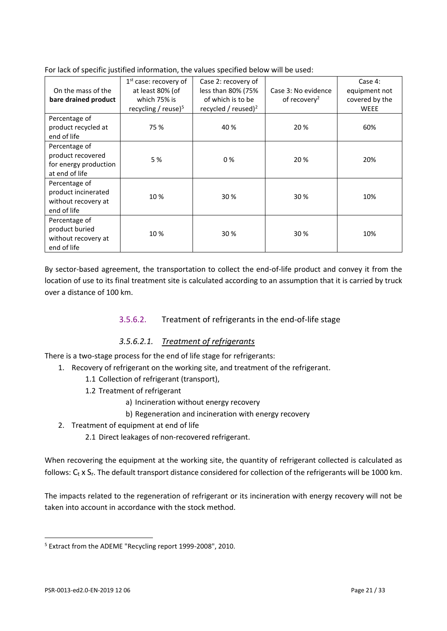| On the mass of the<br>bare drained product                                    | $1st$ case: recovery of<br>at least 80% (of<br>which 75% is<br>recycling / reuse $5$ | Case 2: recovery of<br>less than 80% (75%<br>of which is to be<br>recycled / reused) $2$ | Case 3: No evidence<br>of recovery <sup>2</sup> | Case 4:<br>equipment not<br>covered by the<br><b>WEEE</b> |
|-------------------------------------------------------------------------------|--------------------------------------------------------------------------------------|------------------------------------------------------------------------------------------|-------------------------------------------------|-----------------------------------------------------------|
| Percentage of<br>product recycled at<br>end of life                           | 75 %                                                                                 | 40 %                                                                                     | 20 %                                            | 60%                                                       |
| Percentage of<br>product recovered<br>for energy production<br>at end of life | 5 %                                                                                  | $0\%$                                                                                    | 20 %                                            | 20%                                                       |
| Percentage of<br>product incinerated<br>without recovery at<br>end of life    | 10%                                                                                  | 30 %                                                                                     | 30 %                                            | 10%                                                       |
| Percentage of<br>product buried<br>without recovery at<br>end of life         | 10%                                                                                  | 30%                                                                                      | 30 %                                            | 10%                                                       |

For lack of specific justified information, the values specified below will be used:

By sector-based agreement, the transportation to collect the end-of-life product and convey it from the location of use to its final treatment site is calculated according to an assumption that it is carried by truck over a distance of 100 km.

#### 3.5.6.2. Treatment of refrigerants in the end-of-life stage

#### *3.5.6.2.1. Treatment of refrigerants*

There is a two-stage process for the end of life stage for refrigerants:

- 1. Recovery of refrigerant on the working site, and treatment of the refrigerant.
	- 1.1 Collection of refrigerant (transport),
		- 1.2 Treatment of refrigerant
			- a) Incineration without energy recovery
			- b) Regeneration and incineration with energy recovery
- 2. Treatment of equipment at end of life
	- 2.1 Direct leakages of non-recovered refrigerant.

When recovering the equipment at the working site, the quantity of refrigerant collected is calculated as follows:  $C_t$  x  $S_r$ . The default transport distance considered for collection of the refrigerants will be 1000 km.

The impacts related to the regeneration of refrigerant or its incineration with energy recovery will not be taken into account in accordance with the stock method.

<sup>5</sup> Extract from the ADEME "Recycling report 1999-2008", 2010.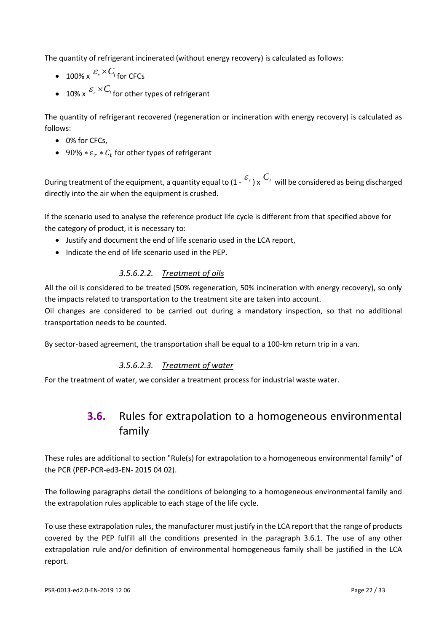The quantity of refrigerant incinerated (without energy recovery) is calculated as follows:

- $\bullet$  100% x  ${}^{\mathcal{E}_{r} \times C_{t}}$  for CFCs
- 10% x  $\frac{{\mathcal E}_r\times C_t}{\mathfrak f}$  for other types of refrigerant

The quantity of refrigerant recovered (regeneration or incineration with energy recovery) is calculated as follows:

- 0% for CFCs,
- 90%  $*\varepsilon_r * C_t$  for other types of refrigerant

During treatment of the equipment, a quantity equal to (1 -  $^{\mathcal{E}_{r}}$  ) x  $^{\mathcal{C}_{t}}$  will be considered as being discharged directly into the air when the equipment is crushed.

If the scenario used to analyse the reference product life cycle is different from that specified above for the category of product, it is necessary to:

- Justify and document the end of life scenario used in the LCA report,
- Indicate the end of life scenario used in the PEP.

#### *3.5.6.2.2. Treatment of oils*

All the oil is considered to be treated (50% regeneration, 50% incineration with energy recovery), so only the impacts related to transportation to the treatment site are taken into account.

Oil changes are considered to be carried out during a mandatory inspection, so that no additional transportation needs to be counted.

By sector-based agreement, the transportation shall be equal to a 100-km return trip in a van.

#### *3.5.6.2.3. Treatment of water*

<span id="page-21-0"></span>For the treatment of water, we consider a treatment process for industrial waste water.

# **3.6.** Rules for extrapolation to a homogeneous environmental family

These rules are additional to section "Rule(s) for extrapolation to a homogeneous environmental family" of the PCR (PEP-PCR-ed3-EN- 2015 04 02).

The following paragraphs detail the conditions of belonging to a homogeneous environmental family and the extrapolation rules applicable to each stage of the life cycle.

To use these extrapolation rules, the manufacturer must justify in the LCA report that the range of products covered by the PEP fulfill all the conditions presented in the paragraph 3.6.1. The use of any other extrapolation rule and/or definition of environmental homogeneous family shall be justified in the LCA report.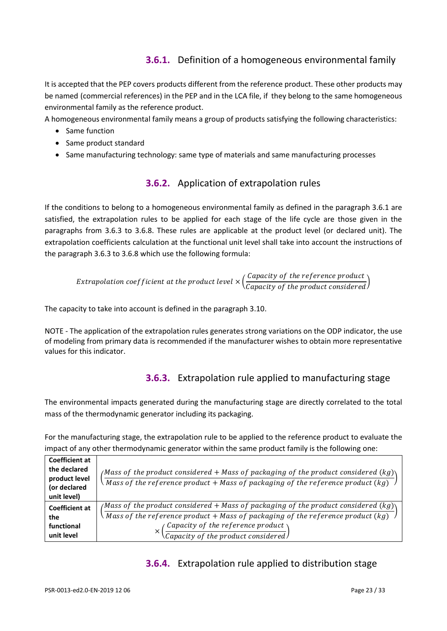## **3.6.1.** Definition of a homogeneous environmental family

It is accepted that the PEP covers products different from the reference product. These other products may be named (commercial references) in the PEP and in the LCA file, if they belong to the same homogeneous environmental family as the reference product.

A homogeneous environmental family means a group of products satisfying the following characteristics:

- Same function
- Same product standard
- Same manufacturing technology: same type of materials and same manufacturing processes

## **3.6.2.** Application of extrapolation rules

If the conditions to belong to a homogeneous environmental family as defined in the paragraph 3.6.1 are satisfied, the extrapolation rules to be applied for each stage of the life cycle are those given in the paragraphs from 3.6.3 to 3.6.8. These rules are applicable at the product level (or declared unit). The extrapolation coefficients calculation at the functional unit level shall take into account the instructions of the paragraph 3.6.3 to 3.6.8 which use the following formula:

Extrapolation coefficient at the product level  $\times \Big(\frac{\emph{Capacity of the reference product}}{\emph{Capacity of the product considered}}\Big)$ 

The capacity to take into account is defined in the paragraph 3.10.

NOTE - The application of the extrapolation rules generates strong variations on the ODP indicator, the use of modeling from primary data is recommended if the manufacturer wishes to obtain more representative values for this indicator.

## **3.6.3.** Extrapolation rule applied to manufacturing stage

The environmental impacts generated during the manufacturing stage are directly correlated to the total mass of the thermodynamic generator including its packaging.

For the manufacturing stage, the extrapolation rule to be applied to the reference product to evaluate the impact of any other thermodynamic generator within the same product family is the following one:

| <b>Coefficient at</b> |                                                                                                               |
|-----------------------|---------------------------------------------------------------------------------------------------------------|
| the declared          | /Mass of the product considered + Mass of packaging of the product considered (kg)\                           |
| product level         | Mass of the reference product $+$ Mass of packaging of the reference product (kg)                             |
| (or declared          |                                                                                                               |
| unit level)           |                                                                                                               |
| <b>Coefficient at</b> | (Mass of the product considered + Mass of packaging of the product considered (kg))                           |
| the                   | Mass of the reference product + Mass of packaging of the reference product $(kg)$                             |
| functional            |                                                                                                               |
| unit level            | $\left(\frac{\textit{Capacity of the reference product}}{\textit{Capacity of the product considered}}\right)$ |

## **3.6.4.** Extrapolation rule applied to distribution stage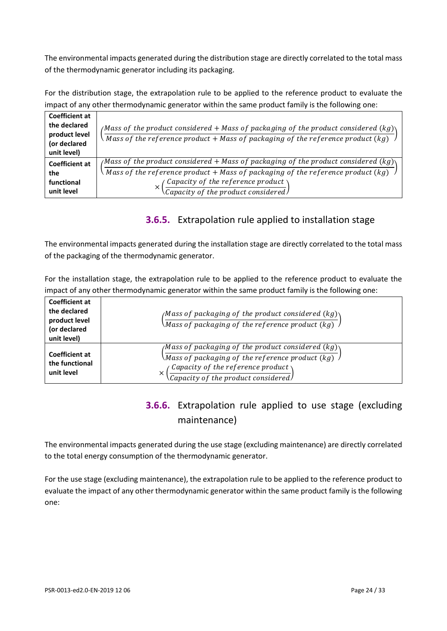The environmental impacts generated during the distribution stage are directly correlated to the total mass of the thermodynamic generator including its packaging.

For the distribution stage, the extrapolation rule to be applied to the reference product to evaluate the impact of any other thermodynamic generator within the same product family is the following one:

| <b>Coefficient at</b><br>the declared<br>product level<br>(or declared<br>unit level) | /Mass of the product considered + Mass of packaging of the product considered (kg) $\setminus$<br>$\setminus$ Mass of the reference product + Mass of packaging of the reference product (kg)                                                                                                  |
|---------------------------------------------------------------------------------------|------------------------------------------------------------------------------------------------------------------------------------------------------------------------------------------------------------------------------------------------------------------------------------------------|
| <b>Coefficient at</b><br>the<br>functional<br>unit level                              | (Mass of the product considered + Mass of packaging of the product considered $(kg)$<br>$\sqrt{M}$ ass of the reference product + Mass of packaging of the reference product (kg)<br>$\left(\frac{\text{Capacity of the reference product}}{\text{Capacity of the product considered}}\right)$ |

## **3.6.5.** Extrapolation rule applied to installation stage

The environmental impacts generated during the installation stage are directly correlated to the total mass of the packaging of the thermodynamic generator.

For the installation stage, the extrapolation rule to be applied to the reference product to evaluate the impact of any other thermodynamic generator within the same product family is the following one:

| <b>Coefficient at</b><br>the declared<br>product level<br>(or declared<br>unit level) | /Mass of packaging of the product considered (kg) $\setminus$<br>$\sqrt{Mass~of~packing~of~the~reference~product~(kg)}$                                                                                                    |
|---------------------------------------------------------------------------------------|----------------------------------------------------------------------------------------------------------------------------------------------------------------------------------------------------------------------------|
| <b>Coefficient at</b><br>the functional<br>unit level                                 | /Mass of packaging of the product considered (kg) $\backslash$<br>\Mass of packaging of the reference product (kg) $\,$ $\,$ $\,$<br>Capacity of the reference product<br>×<br>$\sqrt{Capacity of the product considered}$ |

# **3.6.6.** Extrapolation rule applied to use stage (excluding maintenance)

The environmental impacts generated during the use stage (excluding maintenance) are directly correlated to the total energy consumption of the thermodynamic generator.

For the use stage (excluding maintenance), the extrapolation rule to be applied to the reference product to evaluate the impact of any other thermodynamic generator within the same product family is the following one: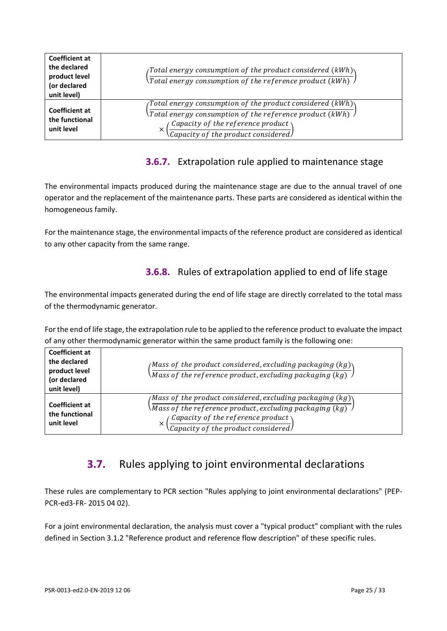| <b>Coefficient at</b><br>the declared<br>product level<br>(or declared<br>unit level) | (Total energy consumption of the product considered (kWh) $\setminus$<br>$\setminus$ Total energy consumption of the reference product (kWh) $\lambda$                                                                                                                 |
|---------------------------------------------------------------------------------------|------------------------------------------------------------------------------------------------------------------------------------------------------------------------------------------------------------------------------------------------------------------------|
| <b>Coefficient at</b><br>the functional<br>unit level                                 | (Total energy consumption of the product considered (kWh) $\setminus$<br>$\backslash$ Total energy consumption of the reference product (kWh) $\backslash$<br>Capacity of the reference product $\setminus$<br>$\times$<br>$\sqrt{Capacity of the product considered}$ |

## **3.6.7.** Extrapolation rule applied to maintenance stage

The environmental impacts produced during the maintenance stage are due to the annual travel of one operator and the replacement of the maintenance parts. These parts are considered as identical within the homogeneous family.

For the maintenance stage, the environmental impacts of the reference product are considered as identical to any other capacity from the same range.

## **3.6.8.** Rules of extrapolation applied to end of life stage

The environmental impacts generated during the end of life stage are directly correlated to the total mass of the thermodynamic generator.

For the end of life stage, the extrapolation rule to be applied to the reference product to evaluate the impact of any other thermodynamic generator within the same product family is the following one: **Coefficient at** 

| CUETHLIEIIL AL<br>the declared<br>product level<br>(or declared<br>unit level) | /Mass of the product considered, excluding packaging (kg) $\setminus$<br>Mass of the reference product, excluding packaging (kg) $\overline{\phantom{a}}$                                                                                                            |
|--------------------------------------------------------------------------------|----------------------------------------------------------------------------------------------------------------------------------------------------------------------------------------------------------------------------------------------------------------------|
| <b>Coefficient at</b><br>the functional<br>unit level                          | /Mass of the product considered, excluding packaging (kg) $\gamma$<br>Mass of the reference product, excluding packaging (kg) $\overline{\phantom{a}}$<br>$\alpha$ Capacity of the reference product $\lambda$<br>×<br>$\langle$ Capacity of the product considered) |

# <span id="page-24-0"></span>**3.7.** Rules applying to joint environmental declarations

These rules are complementary to PCR section "Rules applying to joint environmental declarations" (PEP-PCR-ed3-FR- 2015 04 02).

For a joint environmental declaration, the analysis must cover a "typical product" compliant with the rules defined in Section 3.1.2 "Reference product and reference flow description" of these specific rules.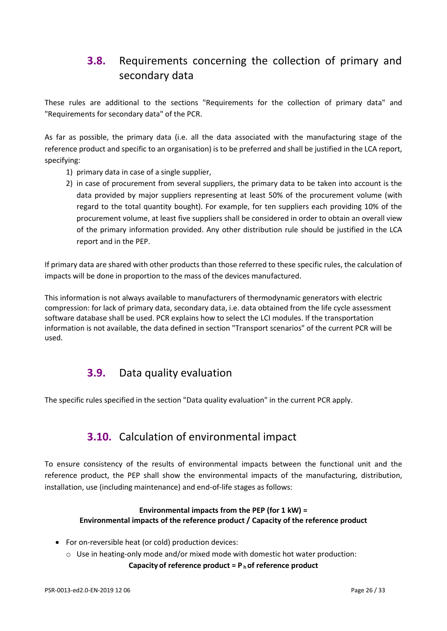# <span id="page-25-0"></span>**3.8.** Requirements concerning the collection of primary and secondary data

These rules are additional to the sections "Requirements for the collection of primary data" and "Requirements for secondary data" of the PCR.

As far as possible, the primary data (i.e. all the data associated with the manufacturing stage of the reference product and specific to an organisation) is to be preferred and shall be justified in the LCA report, specifying:

- 1) primary data in case of a single supplier,
- 2) in case of procurement from several suppliers, the primary data to be taken into account is the data provided by major suppliers representing at least 50% of the procurement volume (with regard to the total quantity bought). For example, for ten suppliers each providing 10% of the procurement volume, at least five suppliers shall be considered in order to obtain an overall view of the primary information provided. Any other distribution rule should be justified in the LCA report and in the PEP.

If primary data are shared with other products than those referred to these specific rules, the calculation of impacts will be done in proportion to the mass of the devices manufactured.

<span id="page-25-1"></span>This information is not always available to manufacturers of thermodynamic generators with electric compression: for lack of primary data, secondary data, i.e. data obtained from the life cycle assessment software database shall be used. PCR explains how to select the LCI modules. If the transportation information is not available, the data defined in section "Transport scenarios" of the current PCR will be used.

## **3.9.** Data quality evaluation

<span id="page-25-2"></span>The specific rules specified in the section "Data quality evaluation" in the current PCR apply.

## **3.10.** Calculation of environmental impact

To ensure consistency of the results of environmental impacts between the functional unit and the reference product, the PEP shall show the environmental impacts of the manufacturing, distribution, installation, use (including maintenance) and end-of-life stages as follows:

#### **Environmental impacts from the PEP (for 1 kW) = Environmental impacts of the reference product / Capacity of the reference product**

- For on-reversible heat (or cold) production devices:
	- $\circ$  Use in heating-only mode and/or mixed mode with domestic hot water production: **Capacity of reference product = P <sup>h</sup>of reference product**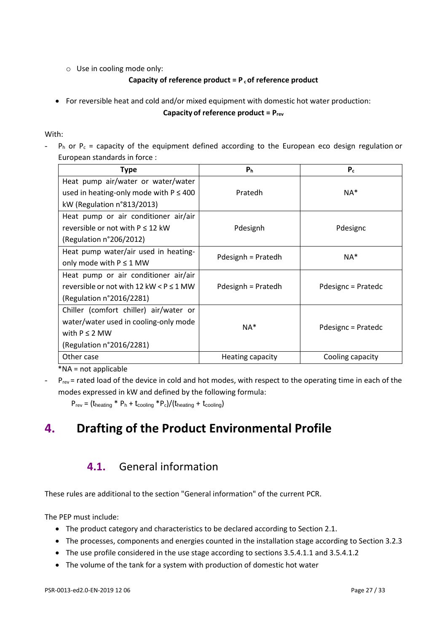o Use in cooling mode only:

#### **Capacity of reference product = P <sup>c</sup>of reference product**

• For reversible heat and cold and/or mixed equipment with domestic hot water production: **Capacity of reference product = Prev**

#### With:

 $-P_h$  or  $P_c$  = capacity of the equipment defined according to the European eco design regulation or European standards in force :

| <b>Type</b>                                       | P <sub>h</sub>     | $P_c$              |  |  |  |
|---------------------------------------------------|--------------------|--------------------|--|--|--|
| Heat pump air/water or water/water                |                    |                    |  |  |  |
| used in heating-only mode with $P \leq 400$       | Pratedh            | $NA^*$             |  |  |  |
| kW (Regulation n°813/2013)                        |                    |                    |  |  |  |
| Heat pump or air conditioner air/air              |                    |                    |  |  |  |
| reversible or not with $P \le 12$ kW              | Pdesignh           | Pdesignc           |  |  |  |
| (Regulation n°206/2012)                           |                    |                    |  |  |  |
| Heat pump water/air used in heating-              | Pdesignh = Pratedh | $NA^*$             |  |  |  |
| only mode with $P \le 1$ MW                       |                    |                    |  |  |  |
| Heat pump or air conditioner air/air              |                    |                    |  |  |  |
| reversible or not with 12 kW $\leq$ P $\leq$ 1 MW | Pdesignh = Pratedh | Pdesignc = Pratedc |  |  |  |
| (Regulation n°2016/2281)                          |                    |                    |  |  |  |
| Chiller (comfort chiller) air/water or            |                    |                    |  |  |  |
| water/water used in cooling-only mode             | $NA*$              |                    |  |  |  |
| with $P \le 2$ MW                                 |                    | Pdesignc = Pratedc |  |  |  |
| (Regulation n°2016/2281)                          |                    |                    |  |  |  |
| Other case                                        | Heating capacity   | Cooling capacity   |  |  |  |

\*NA = not applicable

- P<sub>rev</sub> = rated load of the device in cold and hot modes, with respect to the operating time in each of the modes expressed in kW and defined by the following formula:

 $P_{rev} = (t_{heating} * P_h + t_{cooling} * P_c)/(t_{heating} + t_{cooling})$ 

# <span id="page-26-1"></span><span id="page-26-0"></span>**4. Drafting of the Product Environmental Profile**

## **4.1.** General information

These rules are additional to the section "General information" of the current PCR.

The PEP must include:

- The product category and characteristics to be declared according to Section 2.1.
- The processes, components and energies counted in the installation stage according to Section 3.2.3
- The use profile considered in the use stage according to sections 3.5.4.1.1 and 3.5.4.1.2
- The volume of the tank for a system with production of domestic hot water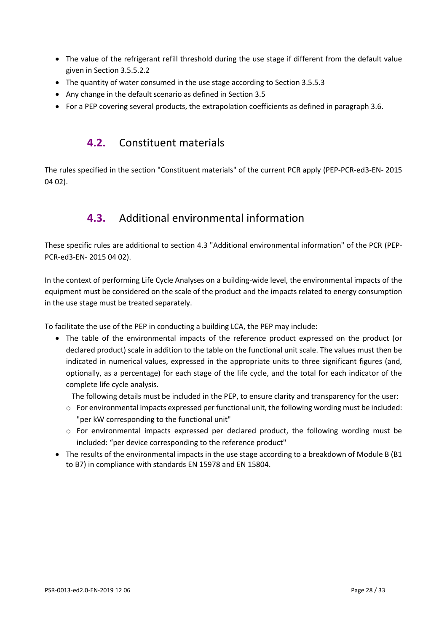- The value of the refrigerant refill threshold during the use stage if different from the default value given in Section 3.5.5.2.2
- The quantity of water consumed in the use stage according to Section 3.5.5.3
- Any change in the default scenario as defined in Section 3.5
- <span id="page-27-0"></span>• For a PEP covering several products, the extrapolation coefficients as defined in paragraph 3.6.

## **4.2.** Constituent materials

<span id="page-27-1"></span>The rules specified in the section "Constituent materials" of the current PCR apply (PEP-PCR-ed3-EN- 2015 04 02).

## **4.3.** Additional environmental information

These specific rules are additional to section 4.3 "Additional environmental information" of the PCR (PEP-PCR-ed3-EN- 2015 04 02).

In the context of performing Life Cycle Analyses on a building-wide level, the environmental impacts of the equipment must be considered on the scale of the product and the impacts related to energy consumption in the use stage must be treated separately.

To facilitate the use of the PEP in conducting a building LCA, the PEP may include:

• The table of the environmental impacts of the reference product expressed on the product (or declared product) scale in addition to the table on the functional unit scale. The values must then be indicated in numerical values, expressed in the appropriate units to three significant figures (and, optionally, as a percentage) for each stage of the life cycle, and the total for each indicator of the complete life cycle analysis.

The following details must be included in the PEP, to ensure clarity and transparency for the user:

- $\circ$  For environmental impacts expressed per functional unit, the following wording must be included: "per kW corresponding to the functional unit"
- $\circ$  For environmental impacts expressed per declared product, the following wording must be included: "per device corresponding to the reference product"
- The results of the environmental impacts in the use stage according to a breakdown of Module B (B1 to B7) in compliance with standards EN 15978 and EN 15804.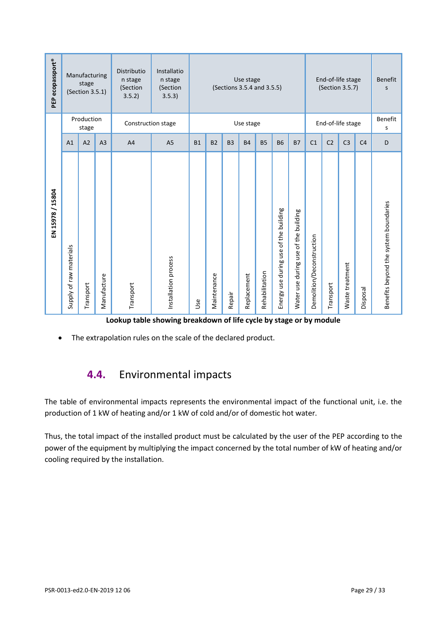| PEP ecopassport®                                                                                                                                                                                                                                                                                                                                 |                                                                                                                                                                                                                                                                                                                                                                                                                                                                                                            | Manufacturing<br>stage<br>(Section 3.5.1) |                | Distributio<br>n stage<br>(Section<br>3.5.2) | Installatio<br>End-of-life stage<br>n stage<br>Use stage<br>(Sections 3.5.4 and 3.5.5)<br>(Section 3.5.7)<br>(Section<br>3.5.3) |           |                                                                                 |  |  |  |                   | <b>Benefit</b><br>S |                |                |   |
|--------------------------------------------------------------------------------------------------------------------------------------------------------------------------------------------------------------------------------------------------------------------------------------------------------------------------------------------------|------------------------------------------------------------------------------------------------------------------------------------------------------------------------------------------------------------------------------------------------------------------------------------------------------------------------------------------------------------------------------------------------------------------------------------------------------------------------------------------------------------|-------------------------------------------|----------------|----------------------------------------------|---------------------------------------------------------------------------------------------------------------------------------|-----------|---------------------------------------------------------------------------------|--|--|--|-------------------|---------------------|----------------|----------------|---|
|                                                                                                                                                                                                                                                                                                                                                  |                                                                                                                                                                                                                                                                                                                                                                                                                                                                                                            | Production<br>stage                       |                | Construction stage                           |                                                                                                                                 | Use stage |                                                                                 |  |  |  | End-of-life stage |                     |                | Benefit<br>S   |   |
|                                                                                                                                                                                                                                                                                                                                                  | A1                                                                                                                                                                                                                                                                                                                                                                                                                                                                                                         | A2                                        | A <sub>3</sub> | A <sub>4</sub>                               | A <sub>5</sub>                                                                                                                  | <b>B1</b> | <b>B2</b><br>B <sub>3</sub><br><b>B4</b><br><b>B5</b><br><b>B6</b><br><b>B7</b> |  |  |  | C1                | C <sub>2</sub>      | C <sub>3</sub> | C <sub>4</sub> | D |
| EN 15978 / 15804                                                                                                                                                                                                                                                                                                                                 | Benefits beyond the system boundaries<br>Energy use during use of the building<br>Water use during use of the building<br>Demolition/Deconstruction<br>Supply of raw materials<br>Installation process<br>Waste treatment<br>Rehabilitation<br>Replacement<br>Manufacture<br>Maintenance<br>Transport<br>Transport<br>Transport<br>Disposal<br>Repair<br><b>Jse</b><br>Lookup table showing breakdown of life cycle by stage or by module<br>The extrapolation rules on the scale of the declared product. |                                           |                |                                              |                                                                                                                                 |           |                                                                                 |  |  |  |                   |                     |                |                |   |
|                                                                                                                                                                                                                                                                                                                                                  | <b>Environmental impacts</b><br>4.4.<br>The table of environmental impacts represents the environmental impact of the functional unit, i.e. the                                                                                                                                                                                                                                                                                                                                                            |                                           |                |                                              |                                                                                                                                 |           |                                                                                 |  |  |  |                   |                     |                |                |   |
| production of 1 kW of heating and/or 1 kW of cold and/or of domestic hot water.<br>Thus, the total impact of the installed product must be calculated by the user of the PEP according to the<br>power of the equipment by multiplying the impact concerned by the total number of kW of heating and/or<br>cooling required by the installation. |                                                                                                                                                                                                                                                                                                                                                                                                                                                                                                            |                                           |                |                                              |                                                                                                                                 |           |                                                                                 |  |  |  |                   |                     |                |                |   |
|                                                                                                                                                                                                                                                                                                                                                  | PSR-0013-ed2.0-EN-2019 12 06<br>Page 29 / 33                                                                                                                                                                                                                                                                                                                                                                                                                                                               |                                           |                |                                              |                                                                                                                                 |           |                                                                                 |  |  |  |                   |                     |                |                |   |

**Lookup table showing breakdown of life cycle by stage or by module** 

## <span id="page-28-0"></span>**4.4.** Environmental impacts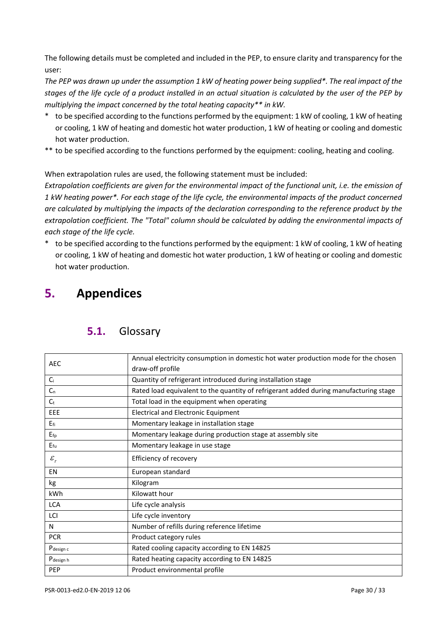The following details must be completed and included in the PEP, to ensure clarity and transparency for the user:

*The PEP was drawn up under the assumption 1 kW of heating power being supplied\*. The real impact of the stages of the life cycle of a product installed in an actual situation is calculated by the user of the PEP by multiplying the impact concerned by the total heating capacity\*\* in kW.*

- to be specified according to the functions performed by the equipment: 1 kW of cooling, 1 kW of heating or cooling, 1 kW of heating and domestic hot water production, 1 kW of heating or cooling and domestic hot water production.
- \*\* to be specified according to the functions performed by the equipment: cooling, heating and cooling.

When extrapolation rules are used, the following statement must be included:

*Extrapolation coefficients are given for the environmental impact of the functional unit, i.e. the emission of 1 kW heating power\*. For each stage of the life cycle, the environmental impacts of the product concerned are calculated by multiplying the impacts of the declaration corresponding to the reference product by the extrapolation coefficient. The "Total" column should be calculated by adding the environmental impacts of each stage of the life cycle.*

\* to be specified according to the functions performed by the equipment: 1 kW of cooling, 1 kW of heating or cooling, 1 kW of heating and domestic hot water production, 1 kW of heating or cooling and domestic hot water production.

# <span id="page-29-1"></span><span id="page-29-0"></span>**5. Appendices**

| <b>AEC</b>            | Annual electricity consumption in domestic hot water production mode for the chosen   |  |  |  |  |  |
|-----------------------|---------------------------------------------------------------------------------------|--|--|--|--|--|
|                       | draw-off profile                                                                      |  |  |  |  |  |
| $C_i$                 | Quantity of refrigerant introduced during installation stage                          |  |  |  |  |  |
| C <sub>n</sub>        | Rated load equivalent to the quantity of refrigerant added during manufacturing stage |  |  |  |  |  |
| $C_{t}$               | Total load in the equipment when operating                                            |  |  |  |  |  |
| <b>EEE</b>            | <b>Electrical and Electronic Equipment</b>                                            |  |  |  |  |  |
| $E_{fi}$              | Momentary leakage in installation stage                                               |  |  |  |  |  |
| $E_{fp}$              | Momentary leakage during production stage at assembly site                            |  |  |  |  |  |
| $E_{\rm fu}$          | Momentary leakage in use stage                                                        |  |  |  |  |  |
| $\varepsilon_{\rm r}$ | Efficiency of recovery                                                                |  |  |  |  |  |
| EN                    | European standard                                                                     |  |  |  |  |  |
| kg                    | Kilogram                                                                              |  |  |  |  |  |
| <b>kWh</b>            | Kilowatt hour                                                                         |  |  |  |  |  |
| <b>LCA</b>            | Life cycle analysis                                                                   |  |  |  |  |  |
| LCI                   | Life cycle inventory                                                                  |  |  |  |  |  |
| N                     | Number of refills during reference lifetime                                           |  |  |  |  |  |
| <b>PCR</b>            | Product category rules                                                                |  |  |  |  |  |
| P <sub>design c</sub> | Rated cooling capacity according to EN 14825                                          |  |  |  |  |  |
| P <sub>design</sub> h | Rated heating capacity according to EN 14825                                          |  |  |  |  |  |
| PEP                   | Product environmental profile                                                         |  |  |  |  |  |

## **5.1.** Glossary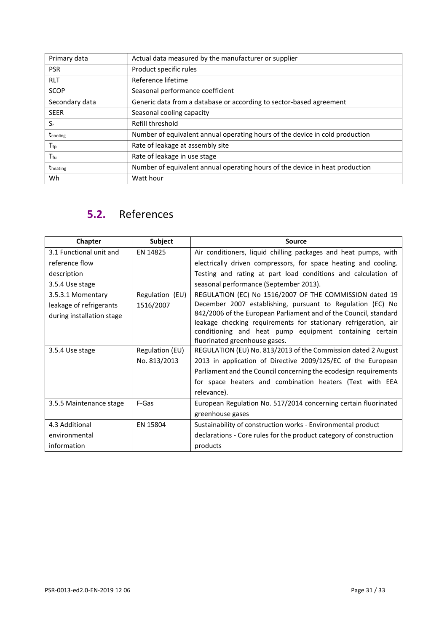| Primary data    | Actual data measured by the manufacturer or supplier                         |
|-----------------|------------------------------------------------------------------------------|
| <b>PSR</b>      | Product specific rules                                                       |
| <b>RLT</b>      | Reference lifetime                                                           |
| <b>SCOP</b>     | Seasonal performance coefficient                                             |
| Secondary data  | Generic data from a database or according to sector-based agreement          |
| <b>SEER</b>     | Seasonal cooling capacity                                                    |
| $S_{r}$         | Refill threshold                                                             |
| tcooling        | Number of equivalent annual operating hours of the device in cold production |
| $T_{\rm fp}$    | Rate of leakage at assembly site                                             |
| $T_{\sf fu}$    | Rate of leakage in use stage                                                 |
| <b>theating</b> | Number of equivalent annual operating hours of the device in heat production |
| Wh              | Watt hour                                                                    |

# <span id="page-30-0"></span>**5.2.** References

| Chapter                   | <b>Subject</b>  | <b>Source</b>                                                      |
|---------------------------|-----------------|--------------------------------------------------------------------|
| 3.1 Functional unit and   | EN 14825        | Air conditioners, liquid chilling packages and heat pumps, with    |
| reference flow            |                 | electrically driven compressors, for space heating and cooling.    |
| description               |                 | Testing and rating at part load conditions and calculation of      |
| 3.5.4 Use stage           |                 | seasonal performance (September 2013).                             |
| 3.5.3.1 Momentary         | Regulation (EU) | REGULATION (EC) No 1516/2007 OF THE COMMISSION dated 19            |
| leakage of refrigerants   | 1516/2007       | December 2007 establishing, pursuant to Regulation (EC) No         |
| during installation stage |                 | 842/2006 of the European Parliament and of the Council, standard   |
|                           |                 | leakage checking requirements for stationary refrigeration, air    |
|                           |                 | conditioning and heat pump equipment containing certain            |
|                           |                 | fluorinated greenhouse gases.                                      |
| 3.5.4 Use stage           | Regulation (EU) | REGULATION (EU) No. 813/2013 of the Commission dated 2 August      |
|                           | No. 813/2013    | 2013 in application of Directive 2009/125/EC of the European       |
|                           |                 | Parliament and the Council concerning the ecodesign requirements   |
|                           |                 | for space heaters and combination heaters (Text with EEA           |
|                           |                 | relevance).                                                        |
| 3.5.5 Maintenance stage   | F-Gas           | European Regulation No. 517/2014 concerning certain fluorinated    |
|                           |                 | greenhouse gases                                                   |
| 4.3 Additional            | EN 15804        | Sustainability of construction works - Environmental product       |
| environmental             |                 | declarations - Core rules for the product category of construction |
| information               |                 | products                                                           |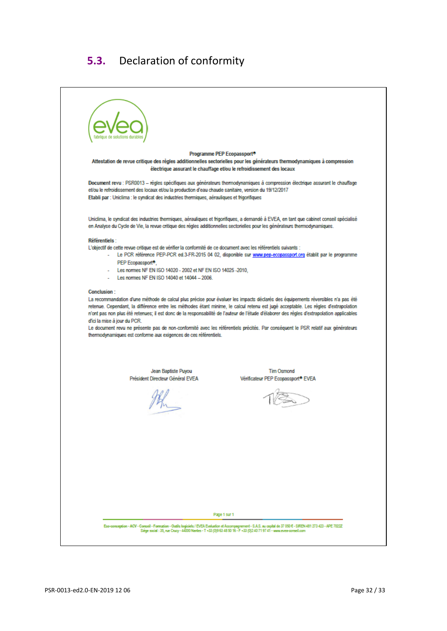# **5.3.** Declaration of conformity

<span id="page-31-0"></span>